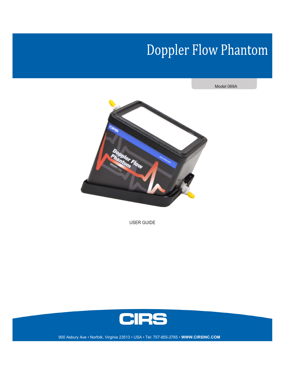## **Doppler Flow Phantom**

Model 069A



USER GUIDE



900 Asbury Ave • Norfolk, Virginia 23513 • USA • Tel: 757-855-2765 • WWW.CIRSINC.COM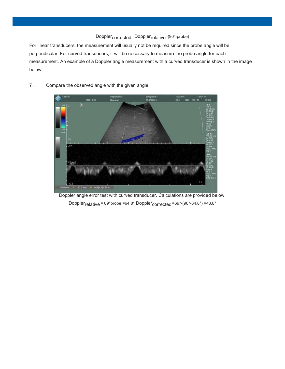## Doppler<sub>corrected</sub> =Doppler<sub>relative</sub> -(90°-probe)

For linear transducers, the measurement will usually not be required since the probe angle will be perpendicular. For curved transducers, it will be necessary to measure the probe angle for each measurement. An example of a Doppler angle measurement with a curved transducer is shown in the image below.

- 12461-6-2 m 33 2 30.3 mm. W. <AB(1.2) 64.8" 30.5 mm
- 7. Compare the observed angle with the given angle.

Doppler angle error test with curved transducer. Calculations are provided below: Doppler<sub>relative</sub> = 69°probe =64.8° Doppler<sub>corrected</sub> =69°-(90°-64.8°) =43.8°